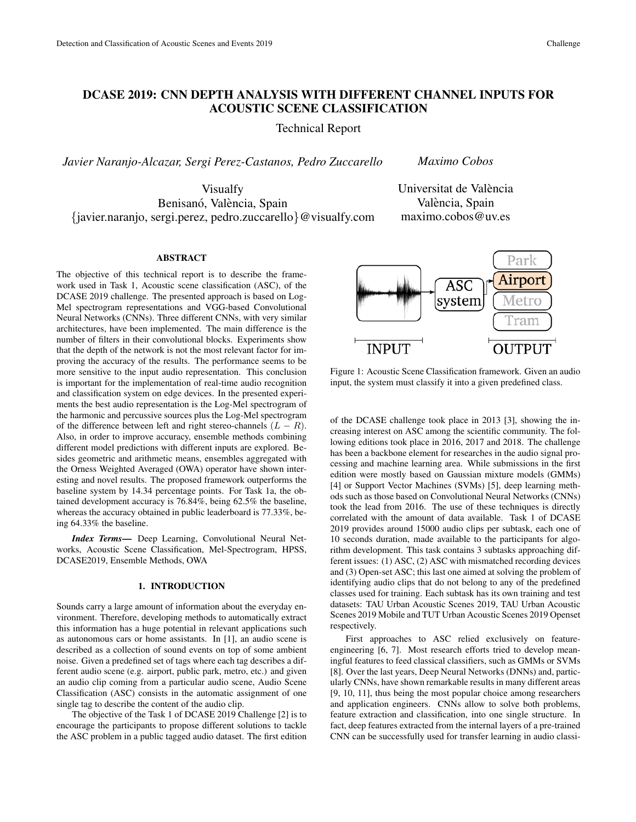# DCASE 2019: CNN DEPTH ANALYSIS WITH DIFFERENT CHANNEL INPUTS FOR ACOUSTIC SCENE CLASSIFICATION

Technical Report

*Javier Naranjo-Alcazar, Sergi Perez-Castanos, Pedro Zuccarello*

*Maximo Cobos*

Visualfy Benisanó, València, Spain {javier.naranjo, sergi.perez, pedro.zuccarello}@visualfy.com Universitat de València València, Spain maximo.cobos@uv.es

## ABSTRACT

The objective of this technical report is to describe the framework used in Task 1, Acoustic scene classification (ASC), of the DCASE 2019 challenge. The presented approach is based on Log-Mel spectrogram representations and VGG-based Convolutional Neural Networks (CNNs). Three different CNNs, with very similar architectures, have been implemented. The main difference is the number of filters in their convolutional blocks. Experiments show that the depth of the network is not the most relevant factor for improving the accuracy of the results. The performance seems to be more sensitive to the input audio representation. This conclusion is important for the implementation of real-time audio recognition and classification system on edge devices. In the presented experiments the best audio representation is the Log-Mel spectrogram of the harmonic and percussive sources plus the Log-Mel spectrogram of the difference between left and right stereo-channels  $(L - R)$ . Also, in order to improve accuracy, ensemble methods combining different model predictions with different inputs are explored. Besides geometric and arithmetic means, ensembles aggregated with the Orness Weighted Averaged (OWA) operator have shown interesting and novel results. The proposed framework outperforms the baseline system by 14.34 percentage points. For Task 1a, the obtained development accuracy is 76.84%, being 62.5% the baseline, whereas the accuracy obtained in public leaderboard is 77.33%, being 64.33% the baseline.

*Index Terms*— Deep Learning, Convolutional Neural Networks, Acoustic Scene Classification, Mel-Spectrogram, HPSS, DCASE2019, Ensemble Methods, OWA

### 1. INTRODUCTION

Sounds carry a large amount of information about the everyday environment. Therefore, developing methods to automatically extract this information has a huge potential in relevant applications such as autonomous cars or home assistants. In [1], an audio scene is described as a collection of sound events on top of some ambient noise. Given a predefined set of tags where each tag describes a different audio scene (e.g. airport, public park, metro, etc.) and given an audio clip coming from a particular audio scene, Audio Scene Classification (ASC) consists in the automatic assignment of one single tag to describe the content of the audio clip.

The objective of the Task 1 of DCASE 2019 Challenge [2] is to encourage the participants to propose different solutions to tackle the ASC problem in a public tagged audio dataset. The first edition



Figure 1: Acoustic Scene Classification framework. Given an audio input, the system must classify it into a given predefined class.

of the DCASE challenge took place in 2013 [3], showing the increasing interest on ASC among the scientific community. The following editions took place in 2016, 2017 and 2018. The challenge has been a backbone element for researches in the audio signal processing and machine learning area. While submissions in the first edition were mostly based on Gaussian mixture models (GMMs) [4] or Support Vector Machines (SVMs) [5], deep learning methods such as those based on Convolutional Neural Networks (CNNs) took the lead from 2016. The use of these techniques is directly correlated with the amount of data available. Task 1 of DCASE 2019 provides around 15000 audio clips per subtask, each one of 10 seconds duration, made available to the participants for algorithm development. This task contains 3 subtasks approaching different issues: (1) ASC, (2) ASC with mismatched recording devices and (3) Open-set ASC; this last one aimed at solving the problem of identifying audio clips that do not belong to any of the predefined classes used for training. Each subtask has its own training and test datasets: TAU Urban Acoustic Scenes 2019, TAU Urban Acoustic Scenes 2019 Mobile and TUT Urban Acoustic Scenes 2019 Openset respectively.

First approaches to ASC relied exclusively on featureengineering [6, 7]. Most research efforts tried to develop meaningful features to feed classical classifiers, such as GMMs or SVMs [8]. Over the last years, Deep Neural Networks (DNNs) and, particularly CNNs, have shown remarkable results in many different areas [9, 10, 11], thus being the most popular choice among researchers and application engineers. CNNs allow to solve both problems, feature extraction and classification, into one single structure. In fact, deep features extracted from the internal layers of a pre-trained CNN can be successfully used for transfer learning in audio classi-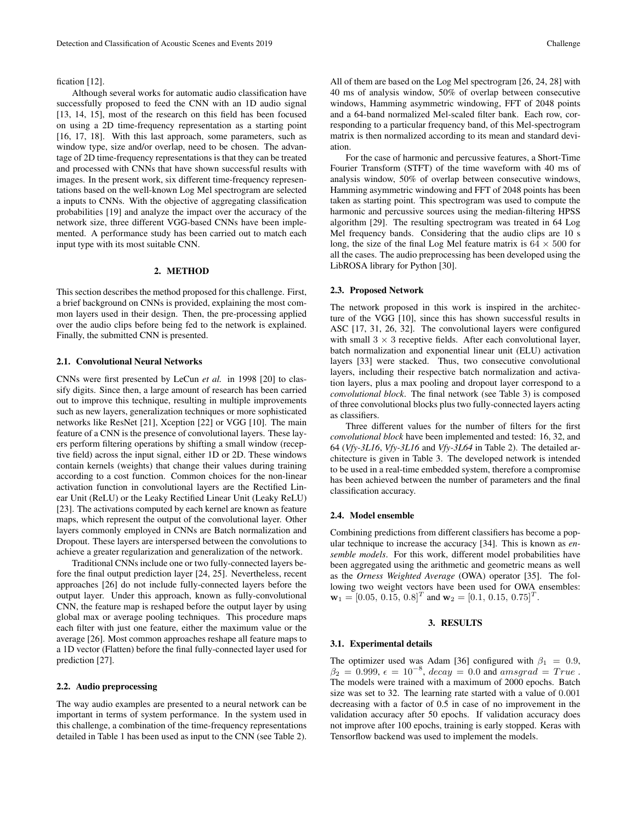#### fication [12].

Although several works for automatic audio classification have successfully proposed to feed the CNN with an 1D audio signal [13, 14, 15], most of the research on this field has been focused on using a 2D time-frequency representation as a starting point [16, 17, 18]. With this last approach, some parameters, such as window type, size and/or overlap, need to be chosen. The advantage of 2D time-frequency representations is that they can be treated and processed with CNNs that have shown successful results with images. In the present work, six different time-frequency representations based on the well-known Log Mel spectrogram are selected a inputs to CNNs. With the objective of aggregating classification probabilities [19] and analyze the impact over the accuracy of the network size, three different VGG-based CNNs have been implemented. A performance study has been carried out to match each input type with its most suitable CNN.

#### 2. METHOD

This section describes the method proposed for this challenge. First, a brief background on CNNs is provided, explaining the most common layers used in their design. Then, the pre-processing applied over the audio clips before being fed to the network is explained. Finally, the submitted CNN is presented.

#### 2.1. Convolutional Neural Networks

CNNs were first presented by LeCun *et al.* in 1998 [20] to classify digits. Since then, a large amount of research has been carried out to improve this technique, resulting in multiple improvements such as new layers, generalization techniques or more sophisticated networks like ResNet [21], Xception [22] or VGG [10]. The main feature of a CNN is the presence of convolutional layers. These layers perform filtering operations by shifting a small window (receptive field) across the input signal, either 1D or 2D. These windows contain kernels (weights) that change their values during training according to a cost function. Common choices for the non-linear activation function in convolutional layers are the Rectified Linear Unit (ReLU) or the Leaky Rectified Linear Unit (Leaky ReLU) [23]. The activations computed by each kernel are known as feature maps, which represent the output of the convolutional layer. Other layers commonly employed in CNNs are Batch normalization and Dropout. These layers are interspersed between the convolutions to achieve a greater regularization and generalization of the network.

Traditional CNNs include one or two fully-connected layers before the final output prediction layer [24, 25]. Nevertheless, recent approaches [26] do not include fully-connected layers before the output layer. Under this approach, known as fully-convolutional CNN, the feature map is reshaped before the output layer by using global max or average pooling techniques. This procedure maps each filter with just one feature, either the maximum value or the average [26]. Most common approaches reshape all feature maps to a 1D vector (Flatten) before the final fully-connected layer used for prediction [27].

#### 2.2. Audio preprocessing

The way audio examples are presented to a neural network can be important in terms of system performance. In the system used in this challenge, a combination of the time-frequency representations detailed in Table 1 has been used as input to the CNN (see Table 2). All of them are based on the Log Mel spectrogram [26, 24, 28] with 40 ms of analysis window, 50% of overlap between consecutive windows, Hamming asymmetric windowing, FFT of 2048 points and a 64-band normalized Mel-scaled filter bank. Each row, corresponding to a particular frequency band, of this Mel-spectrogram matrix is then normalized according to its mean and standard deviation.

For the case of harmonic and percussive features, a Short-Time Fourier Transform (STFT) of the time waveform with 40 ms of analysis window, 50% of overlap between consecutive windows, Hamming asymmetric windowing and FFT of 2048 points has been taken as starting point. This spectrogram was used to compute the harmonic and percussive sources using the median-filtering HPSS algorithm [29]. The resulting spectrogram was treated in 64 Log Mel frequency bands. Considering that the audio clips are 10 s long, the size of the final Log Mel feature matrix is  $64 \times 500$  for all the cases. The audio preprocessing has been developed using the LibROSA library for Python [30].

#### 2.3. Proposed Network

The network proposed in this work is inspired in the architecture of the VGG [10], since this has shown successful results in ASC [17, 31, 26, 32]. The convolutional layers were configured with small  $3 \times 3$  receptive fields. After each convolutional layer, batch normalization and exponential linear unit (ELU) activation layers [33] were stacked. Thus, two consecutive convolutional layers, including their respective batch normalization and activation layers, plus a max pooling and dropout layer correspond to a *convolutional block*. The final network (see Table 3) is composed of three convolutional blocks plus two fully-connected layers acting as classifiers.

Three different values for the number of filters for the first *convolutional block* have been implemented and tested: 16, 32, and 64 (*Vfy-3L16*, *Vfy-3L16* and *Vfy-3L64* in Table 2). The detailed architecture is given in Table 3. The developed network is intended to be used in a real-time embedded system, therefore a compromise has been achieved between the number of parameters and the final classification accuracy.

#### 2.4. Model ensemble

Combining predictions from different classifiers has become a popular technique to increase the accuracy [34]. This is known as *ensemble models*. For this work, different model probabilities have been aggregated using the arithmetic and geometric means as well as the *Orness Weighted Average* (OWA) operator [35]. The following two weight vectors have been used for OWA ensembles:  $\mathbf{w}_1 = [0.05, 0.15, 0.8]^T$  and  $\mathbf{w}_2 = [0.1, 0.15, 0.75]^T$ .

#### 3. RESULTS

#### 3.1. Experimental details

The optimizer used was Adam [36] configured with  $\beta_1 = 0.9$ ,  $\beta_2 = 0.999, \, \epsilon = 10^{-8}, \, decay = 0.0 \text{ and } a msgrad = True$ . The models were trained with a maximum of 2000 epochs. Batch size was set to 32. The learning rate started with a value of 0.001 decreasing with a factor of 0.5 in case of no improvement in the validation accuracy after 50 epochs. If validation accuracy does not improve after 100 epochs, training is early stopped. Keras with Tensorflow backend was used to implement the models.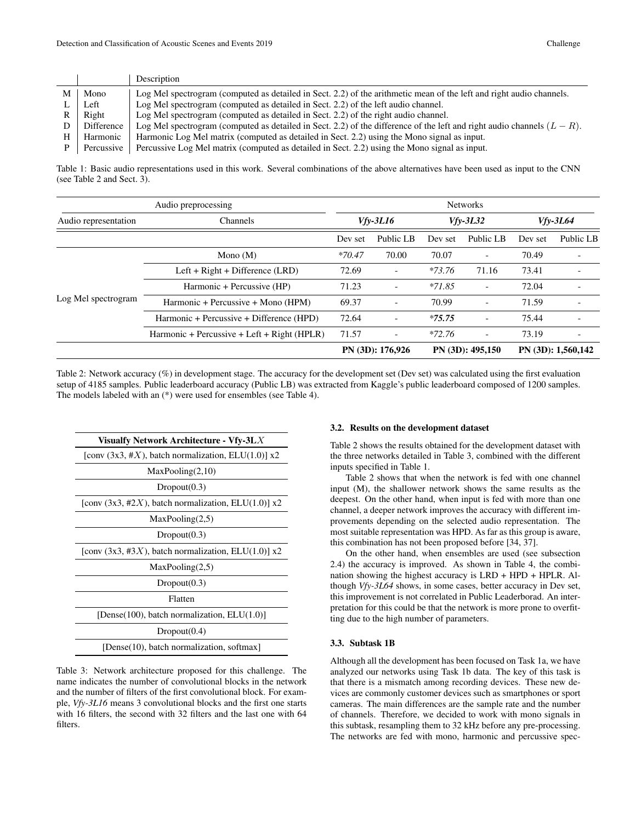|            | Description                                                                                                                |
|------------|----------------------------------------------------------------------------------------------------------------------------|
| Mono       | Log Mel spectrogram (computed as detailed in Sect. 2.2) of the arithmetic mean of the left and right audio channels.       |
| Left       | Log Mel spectrogram (computed as detailed in Sect. 2.2) of the left audio channel.                                         |
| Right      | Log Mel spectrogram (computed as detailed in Sect. 2.2) of the right audio channel.                                        |
| Difference | Log Mel spectrogram (computed as detailed in Sect. 2.2) of the difference of the left and right audio channels $(L - R)$ . |
| Harmonic   | Harmonic Log Mel matrix (computed as detailed in Sect. 2.2) using the Mono signal as input.                                |
| Percussive | Percussive Log Mel matrix (computed as detailed in Sect. 2.2) using the Mono signal as input.                              |

Table 1: Basic audio representations used in this work. Several combinations of the above alternatives have been used as input to the CNN (see Table 2 and Sect. 3).

| Audio preprocessing  |                                             | <b>Networks</b> |                          |            |                          |            |                    |
|----------------------|---------------------------------------------|-----------------|--------------------------|------------|--------------------------|------------|--------------------|
| Audio representation | <b>Channels</b>                             | $Vfv-3L16$      |                          | $Vfv-3L32$ |                          | $Vfv-3L64$ |                    |
|                      |                                             | Dev set         | Public LB                | Dev set    | Public LB                | Dev set    | Public LB          |
|                      | Mono $(M)$                                  | $*70.47$        | 70.00                    | 70.07      | -                        | 70.49      |                    |
|                      | Left + $Right + Difference (LRD)$           | 72.69           | $\overline{\phantom{0}}$ | $*73.76$   | 71.16                    | 73.41      |                    |
|                      | Harmonic + Percussive (HP)                  | 71.23           | -                        | $*71.85$   | $\overline{\phantom{0}}$ | 72.04      |                    |
| Log Mel spectrogram  | Harmonic + Percussive + Mono (HPM)          | 69.37           |                          | 70.99      |                          | 71.59      |                    |
|                      | Harmonic + Percussive + Difference (HPD)    | 72.64           | $\overline{\phantom{0}}$ | $*75.75$   | $\overline{\phantom{a}}$ | 75.44      |                    |
|                      | Harmonic + Percussive + Left + Right (HPLR) | 71.57           | $\overline{\phantom{0}}$ | $*72.76$   | $\overline{\phantom{0}}$ | 73.19      |                    |
|                      |                                             |                 | PN (3D): 176,926         |            | PN(3D): 495,150          |            | PN (3D): 1,560,142 |

Table 2: Network accuracy (%) in development stage. The accuracy for the development set (Dev set) was calculated using the first evaluation setup of 4185 samples. Public leaderboard accuracy (Public LB) was extracted from Kaggle's public leaderboard composed of 1200 samples. The models labeled with an (\*) were used for ensembles (see Table 4).

| Visualfy Network Architecture - Vfy-3L $X$                 |  |  |  |
|------------------------------------------------------------|--|--|--|
| [conv $(3x3, #X)$ , batch normalization, ELU(1.0)] x2      |  |  |  |
| MaxPooling(2,10)                                           |  |  |  |
| Dropout(0.3)                                               |  |  |  |
| [conv $(3x3, #2X)$ , batch normalization, ELU $(1.0)$ ] x2 |  |  |  |
| MaxPooling(2,5)                                            |  |  |  |
| Dropout(0.3)                                               |  |  |  |
| [conv $(3x3, #3X)$ , batch normalization, ELU $(1.0)$ ] x2 |  |  |  |
| MaxPooling(2,5)                                            |  |  |  |
| Dropout(0.3)                                               |  |  |  |
| Flatten                                                    |  |  |  |
| [Dense(100), batch normalization, $ELU(1.0)$ ]             |  |  |  |
| Dropout(0.4)                                               |  |  |  |
| [Dense(10), batch normalization, softmax]                  |  |  |  |

Table 3: Network architecture proposed for this challenge. The name indicates the number of convolutional blocks in the network and the number of filters of the first convolutional block. For example, *Vfy-3L16* means 3 convolutional blocks and the first one starts with 16 filters, the second with 32 filters and the last one with 64 filters.

## 3.2. Results on the development dataset

Table 2 shows the results obtained for the development dataset with the three networks detailed in Table 3, combined with the different inputs specified in Table 1.

Table 2 shows that when the network is fed with one channel input (M), the shallower network shows the same results as the deepest. On the other hand, when input is fed with more than one channel, a deeper network improves the accuracy with different improvements depending on the selected audio representation. The most suitable representation was HPD. As far as this group is aware, this combination has not been proposed before [34, 37].

On the other hand, when ensembles are used (see subsection 2.4) the accuracy is improved. As shown in Table 4, the combination showing the highest accuracy is LRD + HPD + HPLR. Although *Vfy-3L64* shows, in some cases, better accuracy in Dev set, this improvement is not correlated in Public Leaderborad. An interpretation for this could be that the network is more prone to overfitting due to the high number of parameters.

## 3.3. Subtask 1B

Although all the development has been focused on Task 1a, we have analyzed our networks using Task 1b data. The key of this task is that there is a mismatch among recording devices. These new devices are commonly customer devices such as smartphones or sport cameras. The main differences are the sample rate and the number of channels. Therefore, we decided to work with mono signals in this subtask, resampling them to 32 kHz before any pre-processing. The networks are fed with mono, harmonic and percussive spec-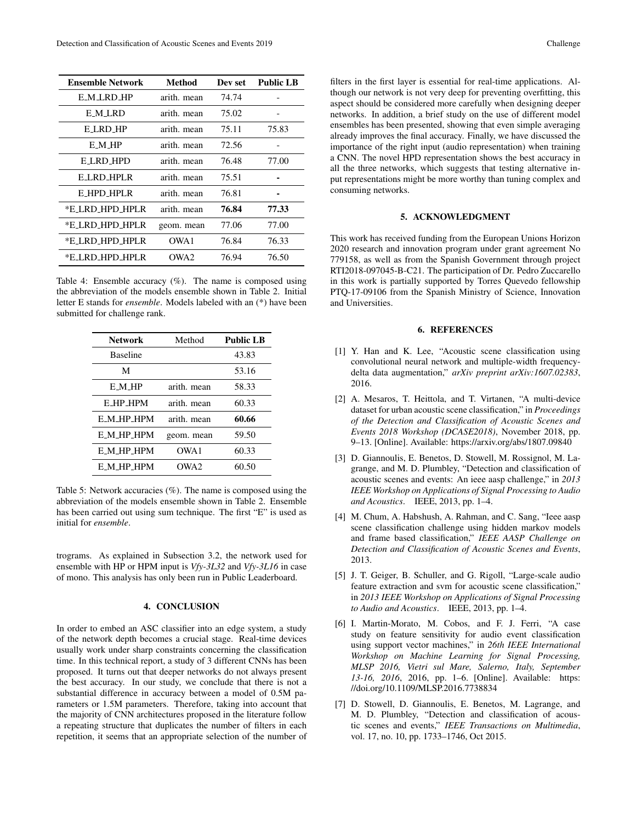| Ensemble Network | Method      | Dev set | <b>Public LB</b> |
|------------------|-------------|---------|------------------|
| E M LRD HP       | arith, mean | 74.74   |                  |
| E M LRD          | arith. mean | 75.02   |                  |
| E LRD HP         | arith. mean | 75.11   | 75.83            |
| E M HP           | arith. mean | 72.56   |                  |
| <b>E_LRD_HPD</b> | arith. mean | 76.48   | 77.00            |
| <b>ELRD HPLR</b> | arith. mean | 75.51   |                  |
| E_HPD_HPLR       | arith. mean | 76.81   |                  |
| *E_LRD_HPD_HPLR  | arith. mean | 76.84   | 77.33            |
| *E_LRD_HPD_HPLR  | geom. mean  | 77.06   | 77.00            |
| *E_LRD_HPD_HPLR  | OWA 1       | 76.84   | 76.33            |
| *E_LRD_HPD_HPLR  | OWA2        | 76.94   | 76.50            |

Table 4: Ensemble accuracy (%). The name is composed using the abbreviation of the models ensemble shown in Table 2. Initial letter E stands for *ensemble*. Models labeled with an (\*) have been submitted for challenge rank.

| <b>Network</b>    | Method           | <b>Public LB</b> |  |
|-------------------|------------------|------------------|--|
| <b>Baseline</b>   |                  | 43.83            |  |
| М                 |                  | 53.16            |  |
| E M HP            | arith. mean      | 58.33            |  |
| E HP HPM          | arith. mean      | 60.33            |  |
| E M HP HPM        | arith, mean      | 60.66            |  |
| <b>E_M_HP_HPM</b> | geom. mean       | 59.50            |  |
| <b>E_M_HP_HPM</b> | OWA1             | 60.33            |  |
| E_M_HP_HPM        | OWA <sub>2</sub> | 60.50            |  |

Table 5: Network accuracies (%). The name is composed using the abbreviation of the models ensemble shown in Table 2. Ensemble has been carried out using sum technique. The first "E" is used as initial for *ensemble*.

trograms. As explained in Subsection 3.2, the network used for ensemble with HP or HPM input is *Vfy-3L32* and *Vfy-3L16* in case of mono. This analysis has only been run in Public Leaderboard.

## 4. CONCLUSION

In order to embed an ASC classifier into an edge system, a study of the network depth becomes a crucial stage. Real-time devices usually work under sharp constraints concerning the classification time. In this technical report, a study of 3 different CNNs has been proposed. It turns out that deeper networks do not always present the best accuracy. In our study, we conclude that there is not a substantial difference in accuracy between a model of 0.5M parameters or 1.5M parameters. Therefore, taking into account that the majority of CNN architectures proposed in the literature follow a repeating structure that duplicates the number of filters in each repetition, it seems that an appropriate selection of the number of

filters in the first layer is essential for real-time applications. Although our network is not very deep for preventing overfitting, this aspect should be considered more carefully when designing deeper networks. In addition, a brief study on the use of different model ensembles has been presented, showing that even simple averaging already improves the final accuracy. Finally, we have discussed the importance of the right input (audio representation) when training a CNN. The novel HPD representation shows the best accuracy in all the three networks, which suggests that testing alternative input representations might be more worthy than tuning complex and consuming networks.

## 5. ACKNOWLEDGMENT

This work has received funding from the European Unions Horizon 2020 research and innovation program under grant agreement No 779158, as well as from the Spanish Government through project RTI2018-097045-B-C21. The participation of Dr. Pedro Zuccarello in this work is partially supported by Torres Quevedo fellowship PTQ-17-09106 from the Spanish Ministry of Science, Innovation and Universities.

## 6. REFERENCES

- [1] Y. Han and K. Lee, "Acoustic scene classification using convolutional neural network and multiple-width frequencydelta data augmentation," *arXiv preprint arXiv:1607.02383*, 2016.
- [2] A. Mesaros, T. Heittola, and T. Virtanen, "A multi-device dataset for urban acoustic scene classification," in *Proceedings of the Detection and Classification of Acoustic Scenes and Events 2018 Workshop (DCASE2018)*, November 2018, pp. 9–13. [Online]. Available: https://arxiv.org/abs/1807.09840
- [3] D. Giannoulis, E. Benetos, D. Stowell, M. Rossignol, M. Lagrange, and M. D. Plumbley, "Detection and classification of acoustic scenes and events: An ieee aasp challenge," in *2013 IEEE Workshop on Applications of Signal Processing to Audio and Acoustics*. IEEE, 2013, pp. 1–4.
- [4] M. Chum, A. Habshush, A. Rahman, and C. Sang, "Ieee aasp scene classification challenge using hidden markov models and frame based classification," *IEEE AASP Challenge on Detection and Classification of Acoustic Scenes and Events*, 2013.
- [5] J. T. Geiger, B. Schuller, and G. Rigoll, "Large-scale audio feature extraction and svm for acoustic scene classification," in *2013 IEEE Workshop on Applications of Signal Processing to Audio and Acoustics*. IEEE, 2013, pp. 1–4.
- [6] I. Martin-Morato, M. Cobos, and F. J. Ferri, "A case study on feature sensitivity for audio event classification using support vector machines," in *26th IEEE International Workshop on Machine Learning for Signal Processing, MLSP 2016, Vietri sul Mare, Salerno, Italy, September 13-16, 2016*, 2016, pp. 1–6. [Online]. Available: https: //doi.org/10.1109/MLSP.2016.7738834
- [7] D. Stowell, D. Giannoulis, E. Benetos, M. Lagrange, and M. D. Plumbley, "Detection and classification of acoustic scenes and events," *IEEE Transactions on Multimedia*, vol. 17, no. 10, pp. 1733–1746, Oct 2015.